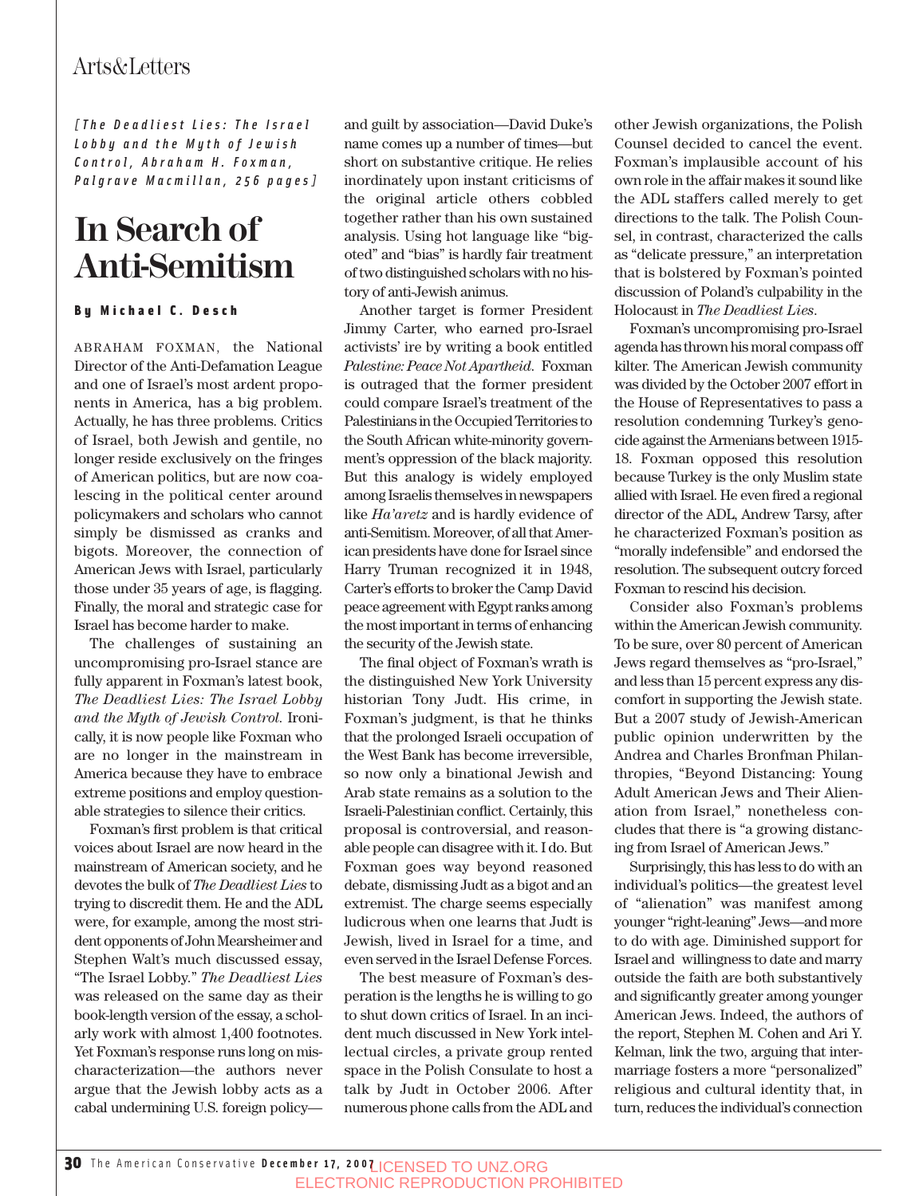*[The Deadliest Lies: The Israel Lobby and the Myth of Jewish Control, Abraham H. Foxman, Palgrave Macmillan, 256 pages]*

## **In Search of Anti-Semitism**

#### By Michael C. Desch

ABRAHAM FOXMAN, the National Director of the Anti-Defamation League and one of Israel's most ardent proponents in America*,* has a big problem. Actually, he has three problems. Critics of Israel, both Jewish and gentile, no longer reside exclusively on the fringes of American politics, but are now coalescing in the political center around policymakers and scholars who cannot simply be dismissed as cranks and bigots. Moreover, the connection of American Jews with Israel, particularly those under 35 years of age, is flagging. Finally, the moral and strategic case for Israel has become harder to make.

The challenges of sustaining an uncompromising pro-Israel stance are fully apparent in Foxman's latest book, *The Deadliest Lies: The Israel Lobby and the Myth of Jewish Control.* Ironically, it is now people like Foxman who are no longer in the mainstream in America because they have to embrace extreme positions and employ questionable strategies to silence their critics.

Foxman's first problem is that critical voices about Israel are now heard in the mainstream of American society, and he devotes the bulk of *The Deadliest Lies* to trying to discredit them. He and the ADL were, for example, among the most strident opponents of John Mearsheimer and Stephen Walt's much discussed essay, "The Israel Lobby." *The Deadliest Lies* was released on the same day as their book-length version of the essay, a scholarly work with almost 1,400 footnotes. Yet Foxman's response runs long on mischaracterization—the authors never argue that the Jewish lobby acts as a cabal undermining U.S. foreign policyand guilt by association—David Duke's name comes up a number of times—but short on substantive critique. He relies inordinately upon instant criticisms of the original article others cobbled together rather than his own sustained analysis. Using hot language like "bigoted" and "bias" is hardly fair treatment of two distinguished scholars with no history of anti-Jewish animus.

Another target is former President Jimmy Carter, who earned pro-Israel activists' ire by writing a book entitled *Palestine: Peace Not Apartheid*. Foxman is outraged that the former president could compare Israel's treatment of the Palestinians in the Occupied Territories to the South African white-minority government's oppression of the black majority. But this analogy is widely employed among Israelis themselves in newspapers like *Ha'aretz* and is hardly evidence of anti-Semitism. Moreover, of all that American presidents have done for Israel since Harry Truman recognized it in 1948, Carter's efforts to broker the Camp David peace agreement with Egypt ranks among the most important in terms of enhancing the security of the Jewish state.

The final object of Foxman's wrath is the distinguished New York University historian Tony Judt. His crime, in Foxman's judgment, is that he thinks that the prolonged Israeli occupation of the West Bank has become irreversible, so now only a binational Jewish and Arab state remains as a solution to the Israeli-Palestinian conflict. Certainly, this proposal is controversial, and reasonable people can disagree with it. I do. But Foxman goes way beyond reasoned debate, dismissing Judt as a bigot and an extremist. The charge seems especially ludicrous when one learns that Judt is Jewish, lived in Israel for a time, and even served in the Israel Defense Forces.

The best measure of Foxman's desperation is the lengths he is willing to go to shut down critics of Israel. In an incident much discussed in New York intellectual circles, a private group rented space in the Polish Consulate to host a talk by Judt in October 2006. After numerous phone calls from the ADL and other Jewish organizations, the Polish Counsel decided to cancel the event. Foxman's implausible account of his own role in the affair makes it sound like the ADL staffers called merely to get directions to the talk. The Polish Counsel, in contrast, characterized the calls as "delicate pressure," an interpretation that is bolstered by Foxman's pointed discussion of Poland's culpability in the Holocaust in *The Deadliest Lies*.

Foxman's uncompromising pro-Israel agenda has thrown his moral compass off kilter. The American Jewish community was divided by the October 2007 effort in the House of Representatives to pass a resolution condemning Turkey's genocide against the Armenians between 1915- 18. Foxman opposed this resolution because Turkey is the only Muslim state allied with Israel. He even fired a regional director of the ADL, Andrew Tarsy, after he characterized Foxman's position as "morally indefensible" and endorsed the resolution. The subsequent outcry forced Foxman to rescind his decision.

Consider also Foxman's problems within the American Jewish community. To be sure, over 80 percent of American Jews regard themselves as "pro-Israel," and less than 15 percent express any discomfort in supporting the Jewish state. But a 2007 study of Jewish-American public opinion underwritten by the Andrea and Charles Bronfman Philanthropies, "Beyond Distancing: Young Adult American Jews and Their Alienation from Israel," nonetheless concludes that there is "a growing distancing from Israel of American Jews."

Surprisingly, this has less to do with an individual's politics—the greatest level of "alienation" was manifest among younger "right-leaning" Jews—and more to do with age. Diminished support for Israel and willingness to date and marry outside the faith are both substantively and significantly greater among younger American Jews. Indeed, the authors of the report, Stephen M. Cohen and Ari Y. Kelman, link the two, arguing that intermarriage fosters a more "personalized" religious and cultural identity that, in turn, reduces the individual's connection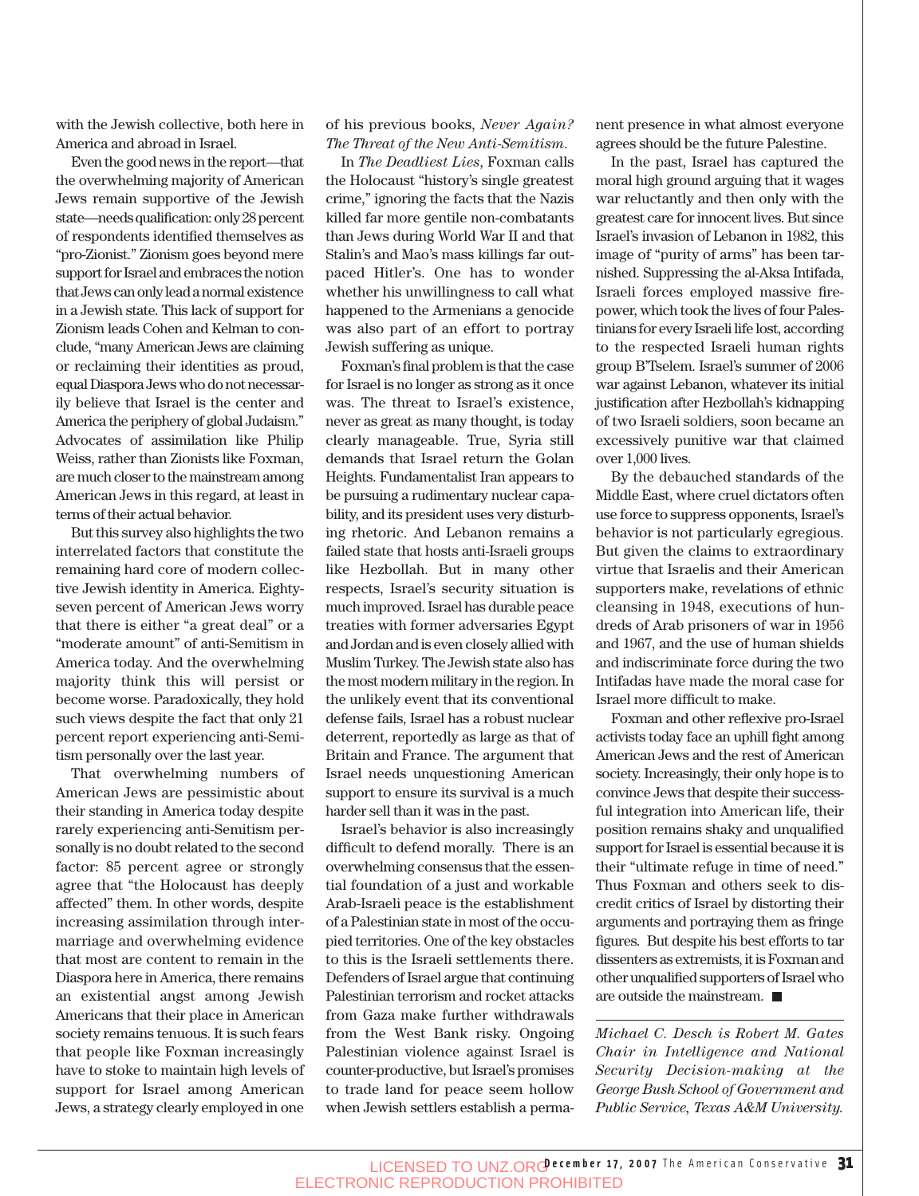with the Jewish collective, both here in America and abroad in Israel.

Even the good news in the report—that the overwhelming majority of American Jews remain supportive of the Jewish state—needs qualification: only 28 percent of respondents identified themselves as "pro-Zionist." Zionism goes beyond mere support for Israel and embraces the notion that Jews can only lead a normal existence in a Jewish state. This lack of support for Zionism leads Cohen and Kelman to conclude, "many American Jews are claiming or reclaiming their identities as proud, equal Diaspora Jews who do not necessarily believe that Israel is the center and America the periphery of global Judaism." Advocates of assimilation like Philip Weiss, rather than Zionists like Foxman, are much closer to the mainstream among American Jews in this regard, at least in terms of their actual behavior.

But this survey also highlights the two interrelated factors that constitute the remaining hard core of modern collective Jewish identity in America. Eightyseven percent of American Jews worry that there is either "a great deal" or a "moderate amount" of anti-Semitism in America today. And the overwhelming majority think this will persist or become worse. Paradoxically, they hold such views despite the fact that only 21 percent report experiencing anti-Semitism personally over the last year.

That overwhelming numbers of American Jews are pessimistic about their standing in America today despite rarely experiencing anti-Semitism personally is no doubt related to the second factor: 85 percent agree or strongly agree that "the Holocaust has deeply affected" them. In other words, despite increasing assimilation through intermarriage and overwhelming evidence that most are content to remain in the Diaspora here in America, there remains an existential angst among Jewish Americans that their place in American society remains tenuous. It is such fears that people like Foxman increasingly have to stoke to maintain high levels of support for Israel among American Jews, a strategy clearly employed in one

of his previous books, *Never Again? The Threat of the New Anti-Semitism*.

In *The Deadliest Lies*, Foxman calls the Holocaust "history's single greatest crime," ignoring the facts that the Nazis killed far more gentile non-combatants than Jews during World War II and that Stalin's and Mao's mass killings far outpaced Hitler's. One has to wonder whether his unwillingness to call what happened to the Armenians a genocide was also part of an effort to portray Jewish suffering as unique.

Foxman's final problem is that the case for Israel is no longer as strong as it once was. The threat to Israel's existence, never as great as many thought, is today clearly manageable. True, Syria still demands that Israel return the Golan Heights. Fundamentalist Iran appears to be pursuing a rudimentary nuclear capability, and its president uses very disturbing rhetoric. And Lebanon remains a failed state that hosts anti-Israeli groups like Hezbollah. But in many other respects, Israel's security situation is much improved. Israel has durable peace treaties with former adversaries Egypt and Jordan and is even closely allied with Muslim Turkey. The Jewish state also has the most modern military in the region. In the unlikely event that its conventional defense fails, Israel has a robust nuclear deterrent, reportedly as large as that of Britain and France. The argument that Israel needs unquestioning American support to ensure its survival is a much harder sell than it was in the past.

Israel's behavior is also increasingly difficult to defend morally. There is an overwhelming consensus that the essential foundation of a just and workable Arab-Israeli peace is the establishment of a Palestinian state in most of the occupied territories. One of the key obstacles to this is the Israeli settlements there. Defenders of Israel argue that continuing Palestinian terrorism and rocket attacks from Gaza make further withdrawals from the West Bank risky. Ongoing Palestinian violence against Israel is counter-productive, but Israel's promises to trade land for peace seem hollow when Jewish settlers establish a permanent presence in what almost everyone agrees should be the future Palestine.

In the past, Israel has captured the moral high ground arguing that it wages war reluctantly and then only with the greatest care for innocent lives. But since Israel's invasion of Lebanon in 1982, this image of "purity of arms" has been tarnished. Suppressing the al-Aksa Intifada, Israeli forces employed massive firepower, which took the lives of four Palestinians for every Israeli life lost, according to the respected Israeli human rights group B'Tselem. Israel's summer of 2006 war against Lebanon, whatever its initial justification after Hezbollah's kidnapping of two Israeli soldiers, soon became an excessively punitive war that claimed over 1,000 lives.

By the debauched standards of the Middle East, where cruel dictators often use force to suppress opponents, Israel's behavior is not particularly egregious. But given the claims to extraordinary virtue that Israelis and their American supporters make, revelations of ethnic cleansing in 1948, executions of hundreds of Arab prisoners of war in 1956 and 1967, and the use of human shields and indiscriminate force during the two Intifadas have made the moral case for Israel more difficult to make.

Foxman and other reflexive pro-Israel activists today face an uphill fight among American Jews and the rest of American society. Increasingly, their only hope is to convince Jews that despite their successful integration into American life, their position remains shaky and unqualified support for Israel is essential because it is their "ultimate refuge in time of need." Thus Foxman and others seek to discredit critics of Israel by distorting their arguments and portraying them as fringe figures. But despite his best efforts to tar dissenters as extremists, it is Foxman and other unqualified supporters of Israel who are outside the mainstream.

*Michael C. Desch is Robert M. Gates Chair in Intelligence and National Security Decision-making at the George Bush School of Government and Public Service, Texas A&M University.*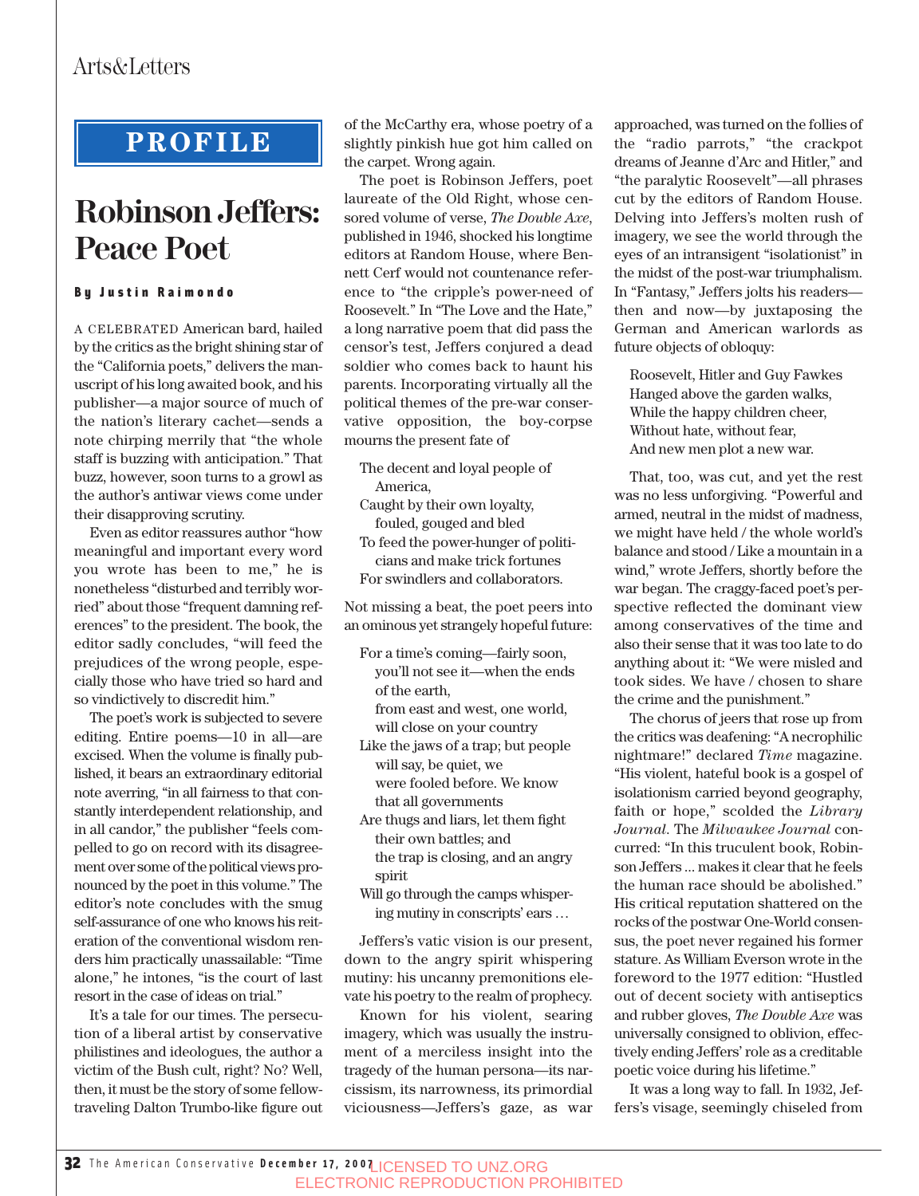## **PROFILE**

# **Robinson Jeffers: Peace Poet**

### By Justin Raimondo

A CELEBRATED American bard, hailed by the critics as the bright shining star of the "California poets," delivers the manuscript of his long awaited book, and his publisher—a major source of much of the nation's literary cachet—sends a note chirping merrily that "the whole staff is buzzing with anticipation." That buzz, however, soon turns to a growl as the author's antiwar views come under their disapproving scrutiny.

Even as editor reassures author "how meaningful and important every word you wrote has been to me," he is nonetheless "disturbed and terribly worried" about those "frequent damning references" to the president. The book, the editor sadly concludes, "will feed the prejudices of the wrong people, especially those who have tried so hard and so vindictively to discredit him."

The poet's work is subjected to severe editing. Entire poems—10 in all—are excised. When the volume is finally published, it bears an extraordinary editorial note averring, "in all fairness to that constantly interdependent relationship, and in all candor," the publisher "feels compelled to go on record with its disagreement over some of the political views pronounced by the poet in this volume." The editor's note concludes with the smug self-assurance of one who knows his reiteration of the conventional wisdom renders him practically unassailable: "Time alone," he intones, "is the court of last resort in the case of ideas on trial."

It's a tale for our times. The persecution of a liberal artist by conservative philistines and ideologues, the author a victim of the Bush cult, right? No? Well, then, it must be the story of some fellowtraveling Dalton Trumbo-like figure out

of the McCarthy era, whose poetry of a slightly pinkish hue got him called on the carpet. Wrong again.

The poet is Robinson Jeffers, poet laureate of the Old Right, whose censored volume of verse, *The Double Axe*, published in 1946, shocked his longtime editors at Random House, where Bennett Cerf would not countenance reference to "the cripple's power-need of Roosevelt." In "The Love and the Hate," a long narrative poem that did pass the censor's test, Jeffers conjured a dead soldier who comes back to haunt his parents. Incorporating virtually all the political themes of the pre-war conservative opposition, the boy-corpse mourns the present fate of

- The decent and loyal people of America,
- Caught by their own loyalty, fouled, gouged and bled
- To feed the power-hunger of politicians and make trick fortunes For swindlers and collaborators.

Not missing a beat, the poet peers into an ominous yet strangely hopeful future:

- For a time's coming—fairly soon, you'll not see it—when the ends of the earth, from east and west, one world,
	- will close on your country
- Like the jaws of a trap; but people will say, be quiet, we were fooled before. We know that all governments
- Are thugs and liars, let them fight their own battles; and the trap is closing, and an angry spirit
- Will go through the camps whispering mutiny in conscripts' ears …

Jeffers's vatic vision is our present, down to the angry spirit whispering mutiny: his uncanny premonitions elevate his poetry to the realm of prophecy.

Known for his violent, searing imagery, which was usually the instrument of a merciless insight into the tragedy of the human persona—its narcissism, its narrowness, its primordial viciousness—Jeffers's gaze, as war approached, was turned on the follies of the "radio parrots," "the crackpot dreams of Jeanne d'Arc and Hitler," and "the paralytic Roosevelt"—all phrases cut by the editors of Random House. Delving into Jeffers's molten rush of imagery, we see the world through the eyes of an intransigent "isolationist" in the midst of the post-war triumphalism. In "Fantasy," Jeffers jolts his readers then and now—by juxtaposing the German and American warlords as future objects of obloquy:

Roosevelt, Hitler and Guy Fawkes Hanged above the garden walks, While the happy children cheer, Without hate, without fear, And new men plot a new war.

That, too, was cut, and yet the rest was no less unforgiving. "Powerful and armed, neutral in the midst of madness, we might have held / the whole world's balance and stood / Like a mountain in a wind," wrote Jeffers, shortly before the war began. The craggy-faced poet's perspective reflected the dominant view among conservatives of the time and also their sense that it was too late to do anything about it: "We were misled and took sides. We have / chosen to share the crime and the punishment."

The chorus of jeers that rose up from the critics was deafening: "A necrophilic nightmare!" declared *Time* magazine. "His violent, hateful book is a gospel of isolationism carried beyond geography, faith or hope," scolded the *Library Journal*. The *Milwaukee Journal* concurred: "In this truculent book, Robinson Jeffers ... makes it clear that he feels the human race should be abolished." His critical reputation shattered on the rocks of the postwar One-World consensus, the poet never regained his former stature. As William Everson wrote in the foreword to the 1977 edition: "Hustled out of decent society with antiseptics and rubber gloves, *The Double Axe* was universally consigned to oblivion, effectively ending Jeffers' role as a creditable poetic voice during his lifetime."

It was a long way to fall. In 1932, Jeffers's visage, seemingly chiseled from